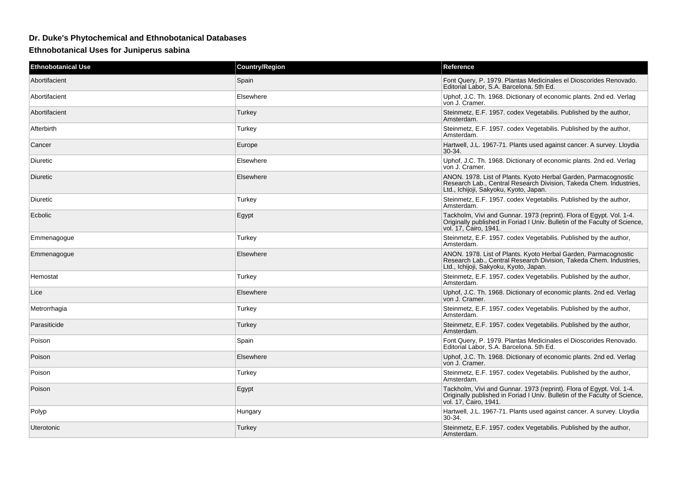## **Dr. Duke's Phytochemical and Ethnobotanical Databases**

**Ethnobotanical Uses for Juniperus sabina**

| <b>Ethnobotanical Use</b> | <b>Country/Region</b> | Reference                                                                                                                                                                       |
|---------------------------|-----------------------|---------------------------------------------------------------------------------------------------------------------------------------------------------------------------------|
| Abortifacient             | Spain                 | Font Query, P. 1979. Plantas Medicinales el Dioscorides Renovado.<br>Editorial Labor, S.A. Barcelona. 5th Ed.                                                                   |
| Abortifacient             | Elsewhere             | Uphof, J.C. Th. 1968. Dictionary of economic plants. 2nd ed. Verlag<br>von J. Cramer.                                                                                           |
| Abortifacient             | Turkey                | Steinmetz, E.F. 1957. codex Vegetabilis. Published by the author,<br>Amsterdam.                                                                                                 |
| Afterbirth                | Turkey                | Steinmetz, E.F. 1957. codex Vegetabilis. Published by the author,<br>Amsterdam.                                                                                                 |
| Cancer                    | Europe                | Hartwell, J.L. 1967-71. Plants used against cancer. A survey. Lloydia<br>30-34.                                                                                                 |
| Diuretic                  | Elsewhere             | Uphof, J.C. Th. 1968. Dictionary of economic plants. 2nd ed. Verlag<br>von J. Cramer.                                                                                           |
| Diuretic                  | Elsewhere             | ANON. 1978. List of Plants. Kyoto Herbal Garden, Parmacognostic<br>Research Lab., Central Research Division, Takeda Chem. Industries,<br>Ltd., Ichijoji, Sakyoku, Kyoto, Japan. |
| Diuretic                  | Turkey                | Steinmetz, E.F. 1957. codex Vegetabilis. Published by the author,<br>Amsterdam.                                                                                                 |
| Ecbolic                   | Egypt                 | Tackholm, Vivi and Gunnar. 1973 (reprint). Flora of Egypt. Vol. 1-4.<br>Originally published in Foriad I Univ. Bulletin of the Faculty of Science,<br>vol. 17, Čairo, 1941.     |
| Emmenagogue               | Turkey                | Steinmetz, E.F. 1957. codex Vegetabilis. Published by the author,<br>Amsterdam.                                                                                                 |
| Emmenagogue               | Elsewhere             | ANON. 1978. List of Plants. Kyoto Herbal Garden, Parmacognostic<br>Research Lab., Central Research Division, Takeda Chem. Industries,<br>Ltd., Ichijoji, Sakyoku, Kyoto, Japan. |
| Hemostat                  | Turkey                | Steinmetz, E.F. 1957. codex Vegetabilis. Published by the author,<br>Amsterdam.                                                                                                 |
| Lice                      | Elsewhere             | Uphof, J.C. Th. 1968. Dictionary of economic plants. 2nd ed. Verlag<br>von J. Cramer.                                                                                           |
| Metrorrhagia              | Turkey                | Steinmetz, E.F. 1957. codex Vegetabilis. Published by the author,<br>Amsterdam.                                                                                                 |
| Parasiticide              | Turkey                | Steinmetz, E.F. 1957. codex Vegetabilis. Published by the author,<br>Amsterdam.                                                                                                 |
| Poison                    | Spain                 | Font Query, P. 1979. Plantas Medicinales el Dioscorides Renovado.<br>Editorial Labor, S.A. Barcelona. 5th Ed.                                                                   |
| Poison                    | Elsewhere             | Uphof, J.C. Th. 1968. Dictionary of economic plants. 2nd ed. Verlag<br>von J. Cramer.                                                                                           |
| Poison                    | Turkey                | Steinmetz, E.F. 1957. codex Vegetabilis. Published by the author,<br>Amsterdam.                                                                                                 |
| Poison                    | Egypt                 | Tackholm, Vivi and Gunnar. 1973 (reprint). Flora of Egypt. Vol. 1-4.<br>Originally published in Foriad I Univ. Bulletin of the Faculty of Science,<br>vol. 17, Cairo, 1941.     |
| Polyp                     | Hungary               | Hartwell, J.L. 1967-71. Plants used against cancer. A survey. Lloydia<br>30-34.                                                                                                 |
| Uterotonic                | Turkey                | Steinmetz, E.F. 1957. codex Vegetabilis. Published by the author,<br>Amsterdam.                                                                                                 |